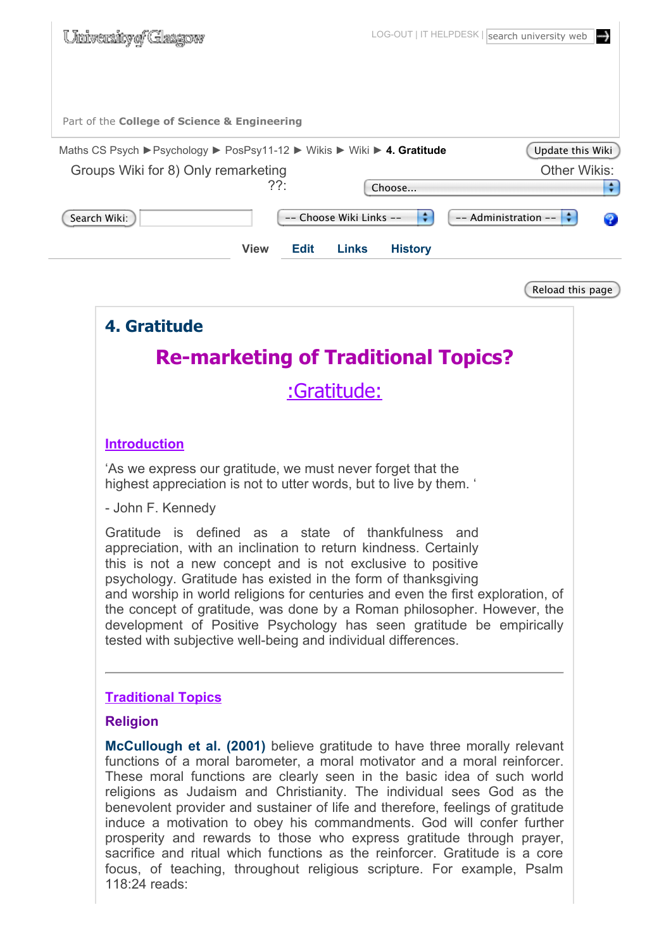| <u>University of Glasgow</u>                                                                | LOG-OUT   IT HELPDESK   search university web<br> ↔ |
|---------------------------------------------------------------------------------------------|-----------------------------------------------------|
| Part of the College of Science & Engineering                                                |                                                     |
| Maths CS Psych ▶ Psychology ▶ PosPsy11-12 ▶ Wikis ▶ Wiki ▶ 4. Gratitude<br>Update this Wiki |                                                     |
| Groups Wiki for 8) Only remarketing                                                         | <b>Other Wikis:</b>                                 |
| $?$ ?:                                                                                      | ÷<br>Choose                                         |
| Search Wiki:<br>-- Choose Wiki Links --                                                     | ÷<br>-- Administration --                           |
| <b>Links</b><br><b>View</b><br><b>Edit</b>                                                  | <b>History</b>                                      |
|                                                                                             | Reload this page                                    |
| 4. Gratitude                                                                                |                                                     |
| <b>Re-marketing of Traditional Topics?</b>                                                  |                                                     |
| :Gratitude:                                                                                 |                                                     |
| <b>Introduction</b>                                                                         |                                                     |

'As we express our gratitude, we must never forget that the highest appreciation is not to utter words, but to live by them. '

- John F. Kennedy

Gratitude is defined as a state of thankfulness and appreciation, with an inclination to return kindness. Certainly this is not a new concept and is not exclusive to positive psychology. Gratitude has existed in the form of thanksgiving and worship in world religions for centuries and even the first exploration, of the concept of gratitude, was done by a Roman philosopher. However, the development of Positive Psychology has seen gratitude be empirically tested with subjective well-being and individual differences.

#### **Traditional Topics**

#### **Religion**

**McCullough et al. (2001)** believe gratitude to have three morally relevant functions of a moral barometer, a moral motivator and a moral reinforcer. These moral functions are clearly seen in the basic idea of such world religions as Judaism and Christianity. The individual sees God as the benevolent provider and sustainer of life and therefore, feelings of gratitude induce a motivation to obey his commandments. God will confer further prosperity and rewards to those who express gratitude through prayer, sacrifice and ritual which functions as the reinforcer. Gratitude is a core focus, of teaching, throughout religious scripture. For example, Psalm 118:24 reads: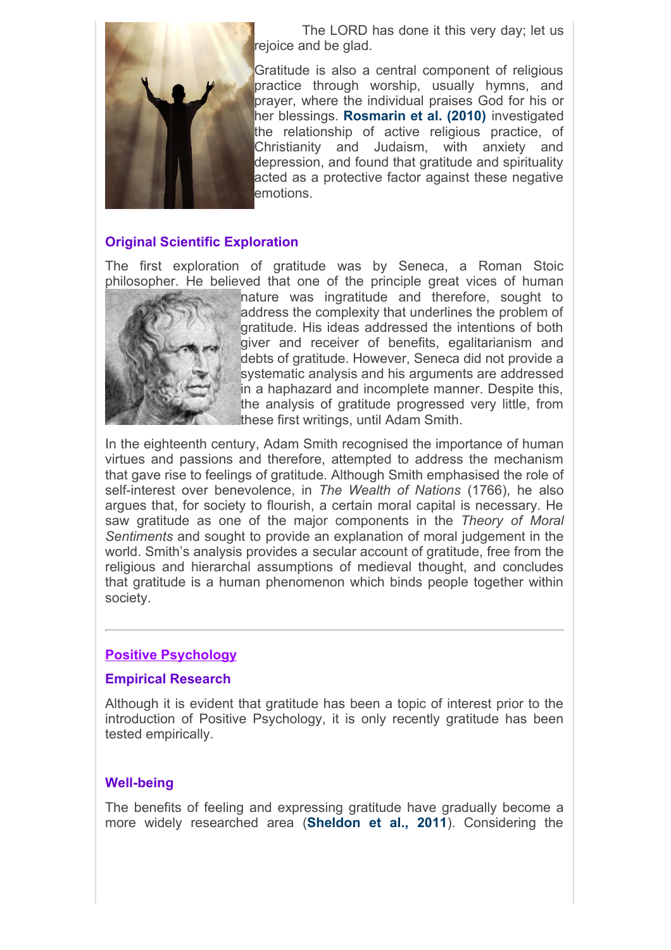

 The LORD has done it this very day; let us rejoice and be glad.

Gratitude is also a central component of religious practice through worship, usually hymns, and prayer, where the individual praises God for his or her blessings. **Rosmarin et al. (2010)** investigated the relationship of active religious practice, of Christianity and Judaism, with anxiety and depression, and found that gratitude and spirituality acted as a protective factor against these negative emotions.

#### **Original Scientific Exploration**

The first exploration of gratitude was by Seneca, a Roman Stoic philosopher. He believed that one of the principle great vices of human



nature was ingratitude and therefore, sought to address the complexity that underlines the problem of gratitude. His ideas addressed the intentions of both giver and receiver of benefits, egalitarianism and debts of gratitude. However, Seneca did not provide a systematic analysis and his arguments are addressed in a haphazard and incomplete manner. Despite this, the analysis of gratitude progressed very little, from these first writings, until Adam Smith.

In the eighteenth century, Adam Smith recognised the importance of human virtues and passions and therefore, attempted to address the mechanism that gave rise to feelings of gratitude. Although Smith emphasised the role of self-interest over benevolence, in *The Wealth of Nations* (1766), he also argues that, for society to flourish, a certain moral capital is necessary. He saw gratitude as one of the major components in the *Theory of Moral Sentiments* and sought to provide an explanation of moral judgement in the world. Smith's analysis provides a secular account of gratitude, free from the religious and hierarchal assumptions of medieval thought, and concludes that gratitude is a human phenomenon which binds people together within society.

#### **Positive Psychology**

#### **Empirical Research**

Although it is evident that gratitude has been a topic of interest prior to the introduction of Positive Psychology, it is only recently gratitude has been tested empirically.

#### **Well-being**

The benefits of feeling and expressing gratitude have gradually become a more widely researched area (**Sheldon et al., 2011**). Considering the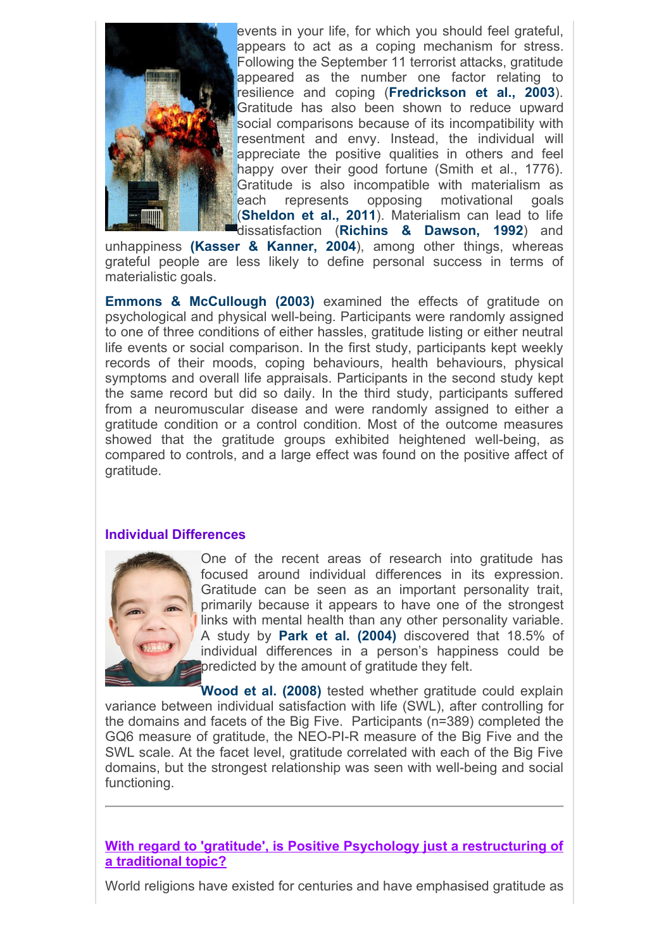

events in your life, for which you should feel grateful, appears to act as a coping mechanism for stress. Following the September 11 terrorist attacks, gratitude appeared as the number one factor relating to resilience and coping (**Fredrickson et al., 2003**). Gratitude has also been shown to reduce upward social comparisons because of its incompatibility with resentment and envy. Instead, the individual will appreciate the positive qualities in others and feel happy over their good fortune (Smith et al., 1776). Gratitude is also incompatible with materialism as each represents opposing motivational goals (**Sheldon et al., 2011**). Materialism can lead to life dissatisfaction (**Richins & Dawson, 1992**) and

unhappiness **(Kasser & Kanner, 2004**), among other things, whereas grateful people are less likely to define personal success in terms of materialistic goals.

**Emmons & McCullough (2003)** examined the effects of gratitude on psychological and physical well-being. Participants were randomly assigned to one of three conditions of either hassles, gratitude listing or either neutral life events or social comparison. In the first study, participants kept weekly records of their moods, coping behaviours, health behaviours, physical symptoms and overall life appraisals. Participants in the second study kept the same record but did so daily. In the third study, participants suffered from a neuromuscular disease and were randomly assigned to either a gratitude condition or a control condition. Most of the outcome measures showed that the gratitude groups exhibited heightened well-being, as compared to controls, and a large effect was found on the positive affect of gratitude.

#### **Individual Differences**



One of the recent areas of research into gratitude has focused around individual differences in its expression. Gratitude can be seen as an important personality trait, primarily because it appears to have one of the strongest links with mental health than any other personality variable. A study by **Park et al. (2004)** discovered that 18.5% of individual differences in a person's happiness could be predicted by the amount of gratitude they felt.

**Wood et al. (2008)** tested whether gratitude could explain variance between individual satisfaction with life (SWL), after controlling for the domains and facets of the Big Five. Participants (n=389) completed the GQ6 measure of gratitude, the NEO-PI-R measure of the Big Five and the SWL scale. At the facet level, gratitude correlated with each of the Big Five domains, but the strongest relationship was seen with well-being and social functioning.

**With regard to 'gratitude', is Positive Psychology just a restructuring of a traditional topic?**

World religions have existed for centuries and have emphasised gratitude as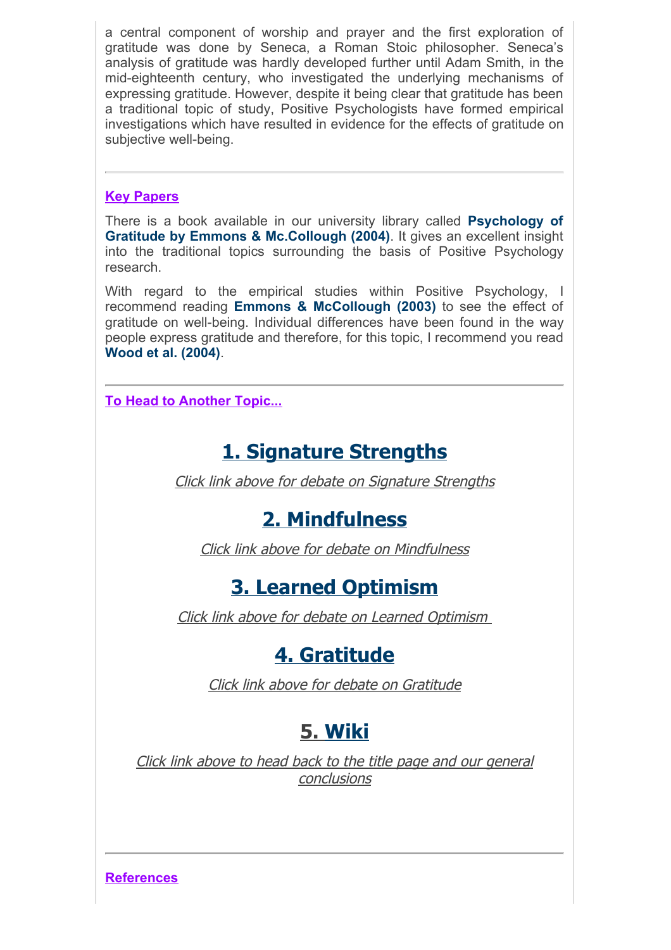a central component of worship and prayer and the first exploration of gratitude was done by Seneca, a Roman Stoic philosopher. Seneca's analysis of gratitude was hardly developed further until Adam Smith, in the mid-eighteenth century, who investigated the underlying mechanisms of expressing gratitude. However, despite it being clear that gratitude has been a traditional topic of study, Positive Psychologists have formed empirical investigations which have resulted in evidence for the effects of gratitude on subjective well-being.

#### **Key Papers**

There is a book available in our university library called **Psychology of Gratitude by Emmons & Mc.Collough (2004)**. It gives an excellent insight into the traditional topics surrounding the basis of Positive Psychology research.

With regard to the empirical studies within Positive Psychology, I recommend reading **Emmons & McCollough (2003)** to see the effect of gratitude on well-being. Individual differences have been found in the way people express gratitude and therefore, for this topic, I recommend you read **Wood et al. (2004)**.

**To Head to Another Topic...**

# **1. Signature Strengths**

Click link above for debate on Signature Strengths

### **2. Mindfulness**

Click link above for debate on Mindfulness

## **3. Learned Optimism**

Click link above for debate on Learned Optimism

## **4. Gratitude**

Click link above for debate on Gratitude

# **5. Wiki**

Click link above to head back to the title page and our general conclusions

**References**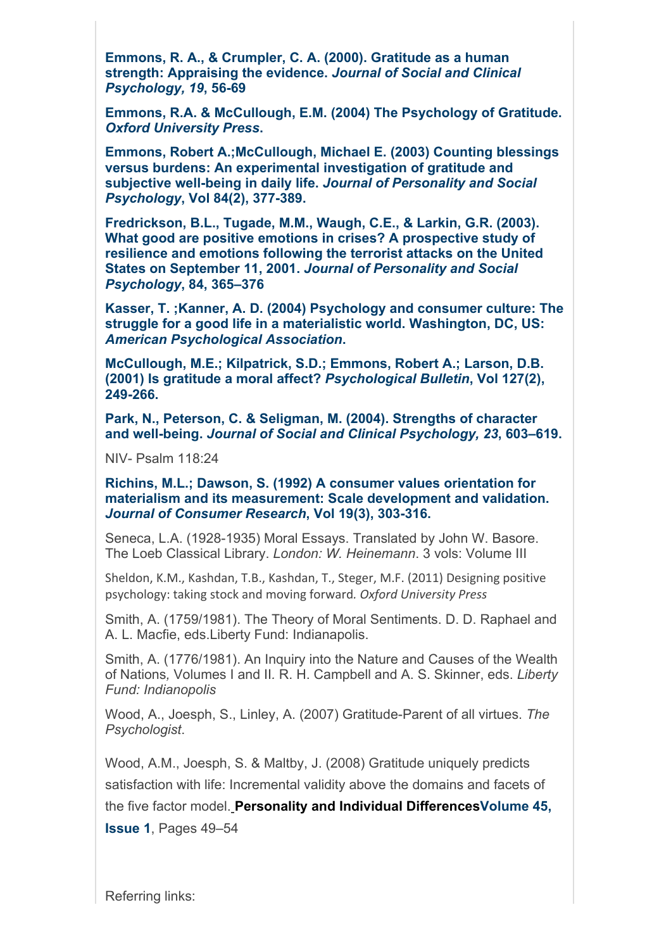**Emmons, R. A., & Crumpler, C. A. (2000). Gratitude as a human strength: Appraising the evidence.** *Journal of Social and Clinical Psychology, 19***, 56-69**

**Emmons, R.A. & McCullough, E.M. (2004) The Psychology of Gratitude.** *Oxford University Press***.**

**Emmons, Robert A.;McCullough, Michael E. (2003) Counting blessings versus burdens: An experimental investigation of gratitude and subjective well-being in daily life.** *Journal of Personality and Social Psychology***, Vol 84(2), 377-389.**

**Fredrickson, B.L., Tugade, M.M., Waugh, C.E., & Larkin, G.R. (2003). What good are positive emotions in crises? A prospective study of resilience and emotions following the terrorist attacks on the United States on September 11, 2001.** *Journal of Personality and Social Psychology***, 84, 365–376**

**Kasser, T. ;Kanner, A. D. (2004) Psychology and consumer culture: The struggle for a good life in a materialistic world. Washington, DC, US:** *American Psychological Association***.**

**McCullough, M.E.; Kilpatrick, S.D.; Emmons, Robert A.; Larson, D.B. (2001) Is gratitude a moral affect?** *Psychological Bulletin***, Vol 127(2), 249-266.**

**Park, N., Peterson, C. & Seligman, M. (2004). Strengths of character and well-being.** *Journal of Social and Clinical Psychology, 23***, 603–619.**

NIV- Psalm 118:24

**Richins, M.L.; Dawson, S. (1992) A consumer values orientation for materialism and its measurement: Scale development and validation.**  *Journal of Consumer Research***, Vol 19(3), 303-316.**

Seneca, L.A. (1928-1935) Moral Essays. Translated by John W. Basore. The Loeb Classical Library. *London: W. Heinemann*. 3 vols: Volume III

Sheldon, K.M., Kashdan, T.B., Kashdan, T., Steger, M.F. (2011) Designing positive psychology: taking stock and moving forward. Oxford University Press

Smith, A. (1759/1981). The Theory of Moral Sentiments. D. D. Raphael and A. L. Macfie, eds.Liberty Fund: Indianapolis.

Smith, A. (1776/1981). An Inquiry into the Nature and Causes of the Wealth of Nations*,* Volumes I and II*.* R. H. Campbell and A. S. Skinner, eds. *Liberty Fund: Indianopolis*

Wood, A., Joesph, S., Linley, A. (2007) Gratitude-Parent of all virtues. *The Psychologist*.

Wood, A.M., Joesph, S. & Maltby, J. (2008) Gratitude uniquely predicts satisfaction with life: Incremental validity above the domains and facets of the five factor model. **Personality and Individual DifferencesVolume 45,**

**Issue 1**, Pages 49–54

Referring links: